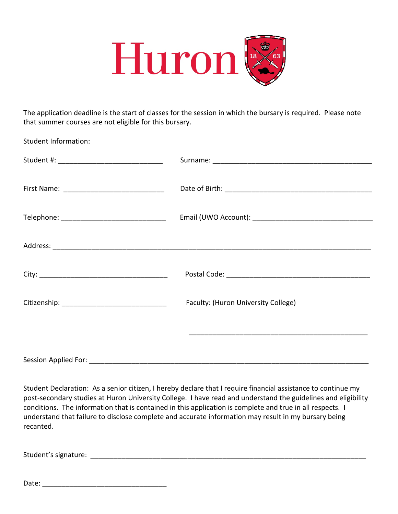

The application deadline is the start of classes for the session in which the bursary is required. Please note that summer courses are not eligible for this bursary.

Student Information:

| Telephone: ___________________________________ |                                     |
|------------------------------------------------|-------------------------------------|
|                                                |                                     |
|                                                |                                     |
|                                                |                                     |
|                                                |                                     |
|                                                |                                     |
|                                                | Faculty: (Huron University College) |
|                                                |                                     |
|                                                |                                     |
|                                                |                                     |
|                                                |                                     |

Student Declaration: As a senior citizen, I hereby declare that I require financial assistance to continue my post-secondary studies at Huron University College. I have read and understand the guidelines and eligibility conditions. The information that is contained in this application is complete and true in all respects. I understand that failure to disclose complete and accurate information may result in my bursary being recanted.

Student's signature: \_\_\_\_\_\_\_\_\_\_\_\_\_\_\_\_\_\_\_\_\_\_\_\_\_\_\_\_\_\_\_\_\_\_\_\_\_\_\_\_\_\_\_\_\_\_\_\_\_\_\_\_\_\_\_\_\_\_\_\_\_\_\_\_\_\_\_\_\_\_\_

Date: \_\_\_\_\_\_\_\_\_\_\_\_\_\_\_\_\_\_\_\_\_\_\_\_\_\_\_\_\_\_\_\_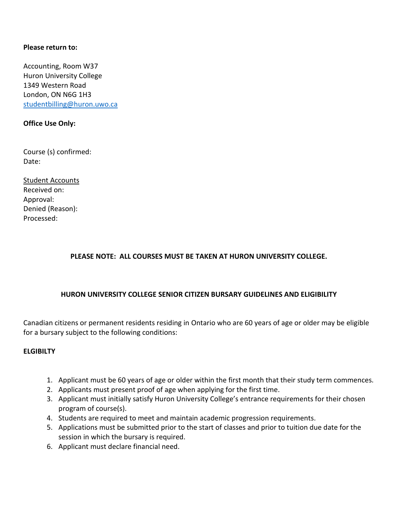#### **Please return to:**

Accounting, Room W37 Huron University College 1349 Western Road London, ON N6G 1H3 [studentbilling@huron.uwo.ca](mailto:studentbilling@huron.uwo.ca)

## **Office Use Only:**

Course (s) confirmed: Date:

Student Accounts Received on: Approval: Denied (Reason): Processed:

# **PLEASE NOTE: ALL COURSES MUST BE TAKEN AT HURON UNIVERSITY COLLEGE.**

#### **HURON UNIVERSITY COLLEGE SENIOR CITIZEN BURSARY GUIDELINES AND ELIGIBILITY**

Canadian citizens or permanent residents residing in Ontario who are 60 years of age or older may be eligible for a bursary subject to the following conditions:

#### **ELGIBILTY**

- 1. Applicant must be 60 years of age or older within the first month that their study term commences.
- 2. Applicants must present proof of age when applying for the first time.
- 3. Applicant must initially satisfy Huron University College's entrance requirements for their chosen program of course(s).
- 4. Students are required to meet and maintain academic progression requirements.
- 5. Applications must be submitted prior to the start of classes and prior to tuition due date for the session in which the bursary is required.
- 6. Applicant must declare financial need.